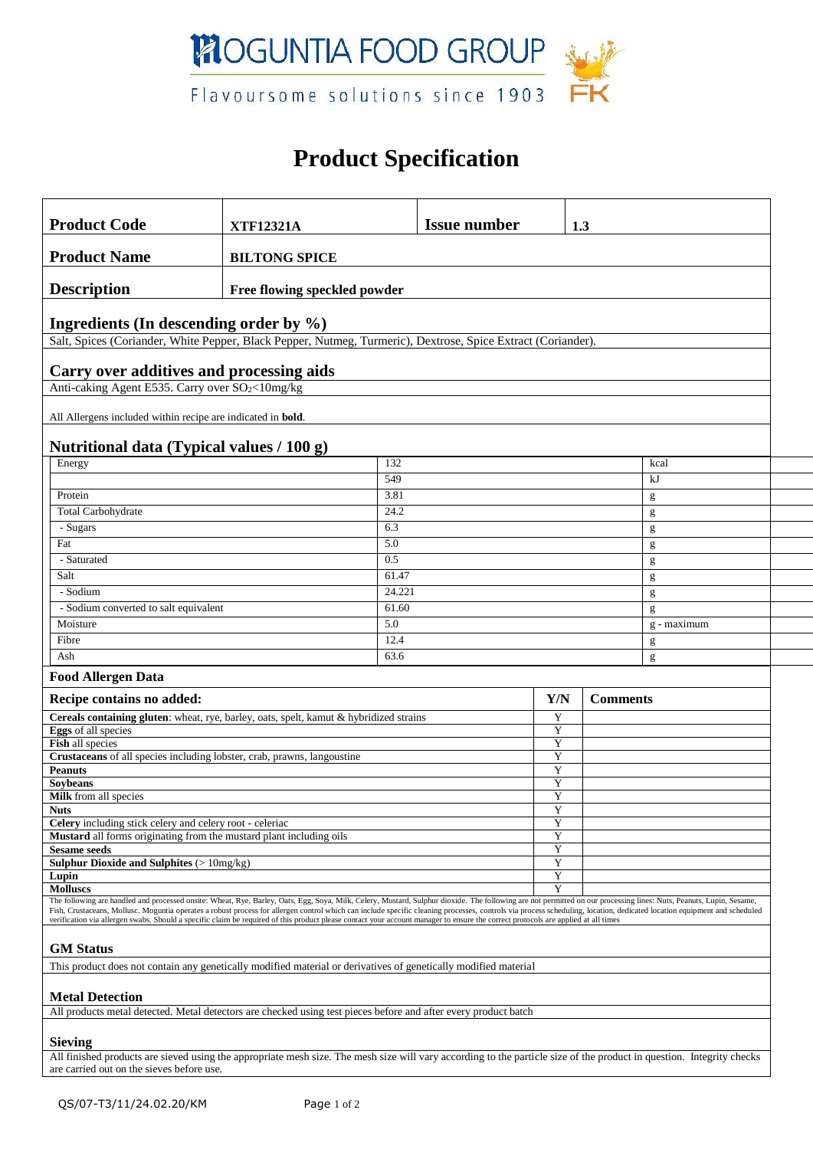

## **Product Specification**

| <b>Product Code</b>                                                                                                                                                                                                                                                                                                                                                                                                                                                                                                                                                                                                                  |                              |              | <b>Issue number</b>    |        | 1.3 |               |  |  |  |
|--------------------------------------------------------------------------------------------------------------------------------------------------------------------------------------------------------------------------------------------------------------------------------------------------------------------------------------------------------------------------------------------------------------------------------------------------------------------------------------------------------------------------------------------------------------------------------------------------------------------------------------|------------------------------|--------------|------------------------|--------|-----|---------------|--|--|--|
|                                                                                                                                                                                                                                                                                                                                                                                                                                                                                                                                                                                                                                      | <b>XTF12321A</b>             |              |                        |        |     |               |  |  |  |
| <b>Product Name</b>                                                                                                                                                                                                                                                                                                                                                                                                                                                                                                                                                                                                                  | <b>BILTONG SPICE</b>         |              |                        |        |     |               |  |  |  |
| <b>Description</b>                                                                                                                                                                                                                                                                                                                                                                                                                                                                                                                                                                                                                   | Free flowing speckled powder |              |                        |        |     |               |  |  |  |
| Ingredients (In descending order by $\%$ )                                                                                                                                                                                                                                                                                                                                                                                                                                                                                                                                                                                           |                              |              |                        |        |     |               |  |  |  |
| Salt, Spices (Coriander, White Pepper, Black Pepper, Nutmeg, Turmeric), Dextrose, Spice Extract (Coriander).                                                                                                                                                                                                                                                                                                                                                                                                                                                                                                                         |                              |              |                        |        |     |               |  |  |  |
|                                                                                                                                                                                                                                                                                                                                                                                                                                                                                                                                                                                                                                      |                              |              |                        |        |     |               |  |  |  |
| Carry over additives and processing aids                                                                                                                                                                                                                                                                                                                                                                                                                                                                                                                                                                                             |                              |              |                        |        |     |               |  |  |  |
| Anti-caking Agent E535. Carry over SO <sub>2</sub> <10mg/kg                                                                                                                                                                                                                                                                                                                                                                                                                                                                                                                                                                          |                              |              |                        |        |     |               |  |  |  |
| All Allergens included within recipe are indicated in <b>bold</b> .                                                                                                                                                                                                                                                                                                                                                                                                                                                                                                                                                                  |                              |              |                        |        |     |               |  |  |  |
|                                                                                                                                                                                                                                                                                                                                                                                                                                                                                                                                                                                                                                      |                              |              |                        |        |     |               |  |  |  |
| Nutritional data (Typical values / 100 g)                                                                                                                                                                                                                                                                                                                                                                                                                                                                                                                                                                                            |                              |              |                        |        |     |               |  |  |  |
| Energy                                                                                                                                                                                                                                                                                                                                                                                                                                                                                                                                                                                                                               |                              | 132<br>549   |                        |        |     | kcal          |  |  |  |
|                                                                                                                                                                                                                                                                                                                                                                                                                                                                                                                                                                                                                                      |                              |              |                        |        |     | kJ            |  |  |  |
| Protein                                                                                                                                                                                                                                                                                                                                                                                                                                                                                                                                                                                                                              |                              | 3.81         |                        |        |     | g             |  |  |  |
| Total Carbohydrate                                                                                                                                                                                                                                                                                                                                                                                                                                                                                                                                                                                                                   |                              | 24.2         |                        |        |     | g             |  |  |  |
|                                                                                                                                                                                                                                                                                                                                                                                                                                                                                                                                                                                                                                      | 6.3<br>- Sugars              |              |                        |        |     | g             |  |  |  |
| Fat                                                                                                                                                                                                                                                                                                                                                                                                                                                                                                                                                                                                                                  | 5.0                          |              |                        |        |     | g             |  |  |  |
| - Saturated                                                                                                                                                                                                                                                                                                                                                                                                                                                                                                                                                                                                                          |                              | 0.5          |                        |        |     | g             |  |  |  |
| Salt                                                                                                                                                                                                                                                                                                                                                                                                                                                                                                                                                                                                                                 |                              | 61.47        |                        | g      |     |               |  |  |  |
| - Sodium                                                                                                                                                                                                                                                                                                                                                                                                                                                                                                                                                                                                                             |                              | 24.221       |                        |        | g   |               |  |  |  |
| - Sodium converted to salt equivalent                                                                                                                                                                                                                                                                                                                                                                                                                                                                                                                                                                                                |                              |              | 61.60                  |        |     | g             |  |  |  |
| Moisture                                                                                                                                                                                                                                                                                                                                                                                                                                                                                                                                                                                                                             | 5.0                          |              |                        |        |     | $g$ - maximum |  |  |  |
| Fibre<br>Ash                                                                                                                                                                                                                                                                                                                                                                                                                                                                                                                                                                                                                         |                              | 12.4<br>63.6 |                        |        |     | g             |  |  |  |
|                                                                                                                                                                                                                                                                                                                                                                                                                                                                                                                                                                                                                                      |                              |              |                        |        |     | g             |  |  |  |
| <b>Food Allergen Data</b>                                                                                                                                                                                                                                                                                                                                                                                                                                                                                                                                                                                                            |                              |              |                        |        |     |               |  |  |  |
| Recipe contains no added:                                                                                                                                                                                                                                                                                                                                                                                                                                                                                                                                                                                                            |                              |              | Y/N<br><b>Comments</b> |        |     |               |  |  |  |
| Cereals containing gluten: wheat, rye, barley, oats, spelt, kamut & hybridized strains                                                                                                                                                                                                                                                                                                                                                                                                                                                                                                                                               |                              |              |                        | Y      |     |               |  |  |  |
| <b>Eggs</b> of all species                                                                                                                                                                                                                                                                                                                                                                                                                                                                                                                                                                                                           |                              |              |                        | Y      |     |               |  |  |  |
| Fish all species<br>Crustaceans of all species including lobster, crab, prawns, langoustine                                                                                                                                                                                                                                                                                                                                                                                                                                                                                                                                          |                              |              | Y<br>Y                 |        |     |               |  |  |  |
| <b>Peanuts</b>                                                                                                                                                                                                                                                                                                                                                                                                                                                                                                                                                                                                                       |                              |              |                        | Y      |     |               |  |  |  |
| Soybeans                                                                                                                                                                                                                                                                                                                                                                                                                                                                                                                                                                                                                             |                              |              |                        | Y      |     |               |  |  |  |
| Milk from all species                                                                                                                                                                                                                                                                                                                                                                                                                                                                                                                                                                                                                |                              |              |                        | Y      |     |               |  |  |  |
| <b>Nuts</b><br>Celery including stick celery and celery root - celeriac                                                                                                                                                                                                                                                                                                                                                                                                                                                                                                                                                              |                              |              |                        | Y<br>Y |     |               |  |  |  |
| <b>Mustard</b> all forms originating from the mustard plant including oils                                                                                                                                                                                                                                                                                                                                                                                                                                                                                                                                                           |                              |              |                        | Y      |     |               |  |  |  |
| <b>Sesame seeds</b>                                                                                                                                                                                                                                                                                                                                                                                                                                                                                                                                                                                                                  |                              |              |                        | Y<br>Y |     |               |  |  |  |
| <b>Sulphur Dioxide and Sulphites (&gt; 10mg/kg)</b>                                                                                                                                                                                                                                                                                                                                                                                                                                                                                                                                                                                  |                              |              |                        |        |     |               |  |  |  |
| Lupin<br><b>Molluscs</b>                                                                                                                                                                                                                                                                                                                                                                                                                                                                                                                                                                                                             |                              |              |                        | Y<br>Y |     |               |  |  |  |
| The following are handled and processed onsite: Wheat, Rye, Barley, Oats, Egg, Soya, Milk, Celery, Mustard, Sulphur dioxide. The following are not permitted on our processing lines: Nuts, Peanuts, Lupin, Sesame,<br>Fish, Crustaceans, Mollusc. Moguntia operates a robust process for allergen control which can include specific cleaning processes, controls via process scheduling, location, dedicated location equipment and scheduled<br>verification via allergen swabs. Should a specific claim be required of this product please contact your account manager to ensure the correct protocols are applied at all times |                              |              |                        |        |     |               |  |  |  |
| <b>GM</b> Status                                                                                                                                                                                                                                                                                                                                                                                                                                                                                                                                                                                                                     |                              |              |                        |        |     |               |  |  |  |
| This product does not contain any genetically modified material or derivatives of genetically modified material                                                                                                                                                                                                                                                                                                                                                                                                                                                                                                                      |                              |              |                        |        |     |               |  |  |  |
|                                                                                                                                                                                                                                                                                                                                                                                                                                                                                                                                                                                                                                      |                              |              |                        |        |     |               |  |  |  |
| <b>Metal Detection</b>                                                                                                                                                                                                                                                                                                                                                                                                                                                                                                                                                                                                               |                              |              |                        |        |     |               |  |  |  |
| All products metal detected. Metal detectors are checked using test pieces before and after every product batch                                                                                                                                                                                                                                                                                                                                                                                                                                                                                                                      |                              |              |                        |        |     |               |  |  |  |
|                                                                                                                                                                                                                                                                                                                                                                                                                                                                                                                                                                                                                                      |                              |              |                        |        |     |               |  |  |  |
| <b>Sieving</b><br>All finished products are sieved using the appropriate mesh size. The mesh size will vary according to the particle size of the product in question. Integrity checks                                                                                                                                                                                                                                                                                                                                                                                                                                              |                              |              |                        |        |     |               |  |  |  |

are carried out on the sieves before use.